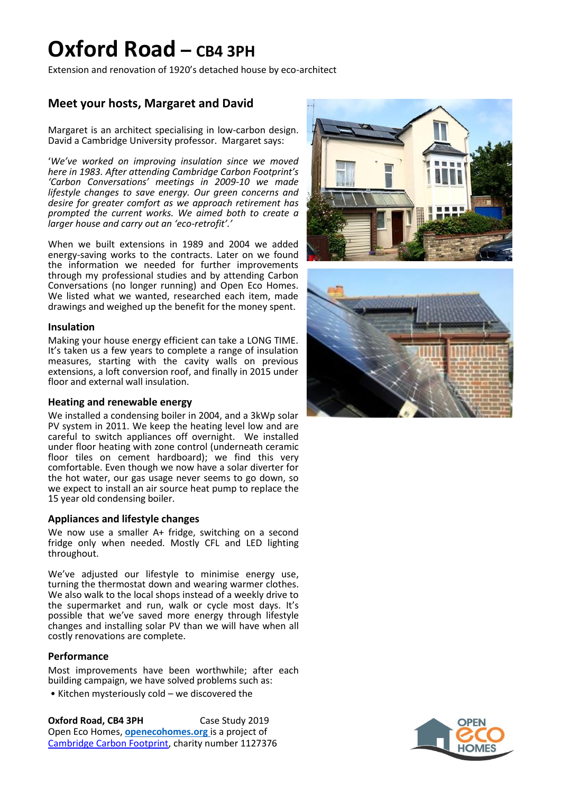## **Oxford Road – CB4 3PH**

Extension and renovation of 1920's detached house by eco-architect

### **Meet your hosts, Margaret and David**

Margaret is an architect specialising in low-carbon design. David a Cambridge University professor. Margaret says:

'*We've worked on improving insulation since we moved here in 1983. After attending Cambridge Carbon Footprint's 'Carbon Conversations' meetings in 2009-10 we made lifestyle changes to save energy. Our green concerns and desire for greater comfort as we approach retirement has prompted the current works. We aimed both to create a larger house and carry out an 'eco-retrofit'.'*

When we built extensions in 1989 and 2004 we added energy-saving works to the contracts. Later on we found the information we needed for further improvements through my professional studies and by attending Carbon Conversations (no longer running) and Open Eco Homes. We listed what we wanted, researched each item, made drawings and weighed up the benefit for the money spent.

#### **Insulation**

Making your house energy efficient can take a LONG TIME. It's taken us a few years to complete a range of insulation measures, starting with the cavity walls on previous extensions, a loft conversion roof, and finally in 2015 under floor and external wall insulation.

#### **Heating and renewable energy**

We installed a condensing boiler in 2004, and a 3kWp solar PV system in 2011. We keep the heating level low and are careful to switch appliances off overnight. We installed under floor heating with zone control (underneath ceramic floor tiles on cement hardboard); we find this very comfortable. Even though we now have a solar diverter for the hot water, our gas usage never seems to go down, so we expect to install an air source heat pump to replace the 15 year old condensing boiler.

### **Appliances and lifestyle changes**

We now use a smaller A+ fridge, switching on a second fridge only when needed. Mostly CFL and LED lighting throughout.

We've adjusted our lifestyle to minimise energy use, turning the thermostat down and wearing warmer clothes. We also walk to the local shops instead of a weekly drive to the supermarket and run, walk or cycle most days. It's possible that we've saved more energy through lifestyle changes and installing solar PV than we will have when all costly renovations are complete.

### **Performance**

Most improvements have been worthwhile; after each building campaign, we have solved problems such as:

• Kitchen mysteriously cold – we discovered the

**Oxford Road, CB4 3PH** Case Study 2019 Open Eco Homes, **[openecohomes.org](http://www.openecohomes.org/)** is a project of [Cambridge Carbon Footprint,](http://cambridgecarbonfootprint.org/) charity number 1127376